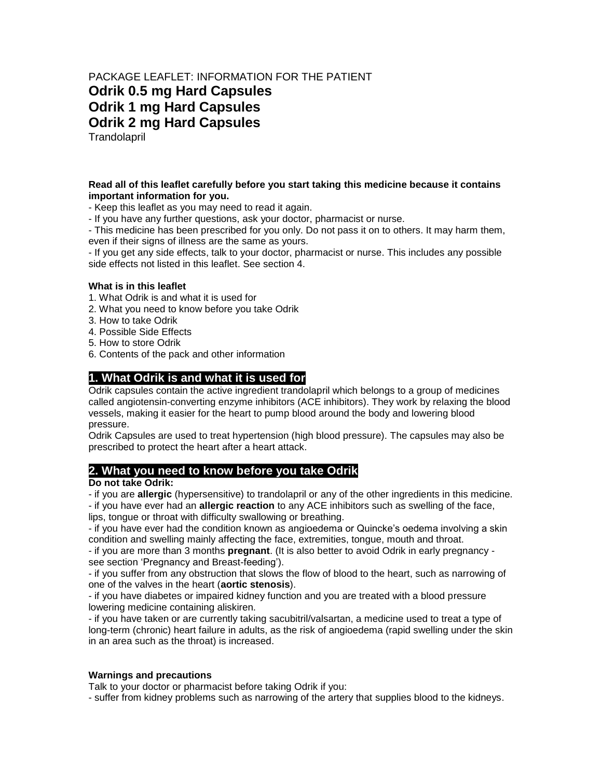# PACKAGE LEAFLET: INFORMATION FOR THE PATIENT **Odrik 0.5 mg Hard Capsules Odrik 1 mg Hard Capsules Odrik 2 mg Hard Capsules Trandolapril**

**Read all of this leaflet carefully before you start taking this medicine because it contains important information for you.**

- Keep this leaflet as you may need to read it again.

- If you have any further questions, ask your doctor, pharmacist or nurse.

- This medicine has been prescribed for you only. Do not pass it on to others. It may harm them, even if their signs of illness are the same as yours.

- If you get any side effects, talk to your doctor, pharmacist or nurse. This includes any possible side effects not listed in this leaflet. See section 4.

#### **What is in this leaflet**

- 1. What Odrik is and what it is used for
- 2. What you need to know before you take Odrik
- 3. How to take Odrik
- 4. Possible Side Effects
- 5. How to store Odrik
- 6. Contents of the pack and other information

## **1. What Odrik is and what it is used for**

Odrik capsules contain the active ingredient trandolapril which belongs to a group of medicines called angiotensin-converting enzyme inhibitors (ACE inhibitors). They work by relaxing the blood vessels, making it easier for the heart to pump blood around the body and lowering blood pressure.

Odrik Capsules are used to treat hypertension (high blood pressure). The capsules may also be prescribed to protect the heart after a heart attack.

#### **2. What you need to know before you take Odrik**

#### **Do not take Odrik:**

- if you are **allergic** (hypersensitive) to trandolapril or any of the other ingredients in this medicine.

- if you have ever had an **allergic reaction** to any ACE inhibitors such as swelling of the face, lips, tongue or throat with difficulty swallowing or breathing.

- if you have ever had the condition known as angioedema or Quincke's oedema involving a skin condition and swelling mainly affecting the face, extremities, tongue, mouth and throat.

- if you are more than 3 months **pregnant**. (It is also better to avoid Odrik in early pregnancy see section 'Pregnancy and Breast-feeding').

- if you suffer from any obstruction that slows the flow of blood to the heart, such as narrowing of one of the valves in the heart (**aortic stenosis**).

- if you have diabetes or impaired kidney function and you are treated with a blood pressure lowering medicine containing aliskiren.

- if you have taken or are currently taking sacubitril/valsartan, a medicine used to treat a type of long-term (chronic) heart failure in adults, as the risk of angioedema (rapid swelling under the skin in an area such as the throat) is increased.

#### **Warnings and precautions**

Talk to your doctor or pharmacist before taking Odrik if you:

- suffer from kidney problems such as narrowing of the artery that supplies blood to the kidneys.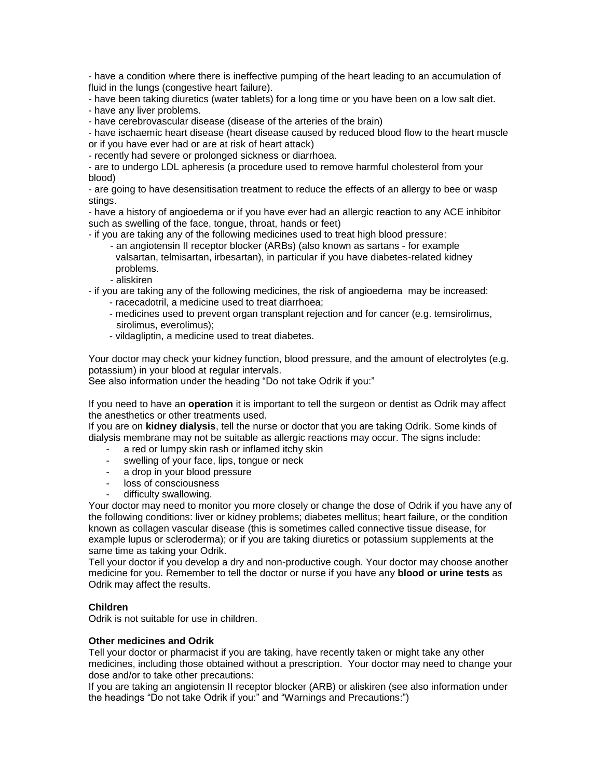- have a condition where there is ineffective pumping of the heart leading to an accumulation of fluid in the lungs (congestive heart failure).

- have been taking diuretics (water tablets) for a long time or you have been on a low salt diet.

- have any liver problems.

- have cerebrovascular disease (disease of the arteries of the brain)

- have ischaemic heart disease (heart disease caused by reduced blood flow to the heart muscle or if you have ever had or are at risk of heart attack)

- recently had severe or prolonged sickness or diarrhoea.

- are to undergo LDL apheresis (a procedure used to remove harmful cholesterol from your blood)

- are going to have desensitisation treatment to reduce the effects of an allergy to bee or wasp stings.

- have a history of angioedema or if you have ever had an allergic reaction to any ACE inhibitor such as swelling of the face, tongue, throat, hands or feet)

- if you are taking any of the following medicines used to treat high blood pressure:

- an angiotensin II receptor blocker (ARBs) (also known as sartans for example valsartan, telmisartan, irbesartan), in particular if you have diabetes-related kidney problems.
- aliskiren

- if you are taking any of the following medicines, the risk of angioedema may be increased:

- racecadotril, a medicine used to treat diarrhoea;
- medicines used to prevent organ transplant rejection and for cancer (e.g. temsirolimus, sirolimus, everolimus);
- vildagliptin, a medicine used to treat diabetes.

Your doctor may check your kidney function, blood pressure, and the amount of electrolytes (e.g. potassium) in your blood at regular intervals.

See also information under the heading "Do not take Odrik if you:"

If you need to have an **operation** it is important to tell the surgeon or dentist as Odrik may affect the anesthetics or other treatments used.

If you are on **kidney dialysis**, tell the nurse or doctor that you are taking Odrik. Some kinds of dialysis membrane may not be suitable as allergic reactions may occur. The signs include:

- a red or lumpy skin rash or inflamed itchy skin
- swelling of your face, lips, tongue or neck
- a drop in your blood pressure
- loss of consciousness
- difficulty swallowing.

Your doctor may need to monitor you more closely or change the dose of Odrik if you have any of the following conditions: liver or kidney problems; diabetes mellitus; heart failure, or the condition known as collagen vascular disease (this is sometimes called connective tissue disease, for example lupus or scleroderma); or if you are taking diuretics or potassium supplements at the same time as taking your Odrik.

Tell your doctor if you develop a dry and non-productive cough. Your doctor may choose another medicine for you. Remember to tell the doctor or nurse if you have any **blood or urine tests** as Odrik may affect the results.

## **Children**

Odrik is not suitable for use in children.

## **Other medicines and Odrik**

Tell your doctor or pharmacist if you are taking, have recently taken or might take any other medicines, including those obtained without a prescription. Your doctor may need to change your dose and/or to take other precautions:

If you are taking an angiotensin II receptor blocker (ARB) or aliskiren (see also information under the headings "Do not take Odrik if you:" and "Warnings and Precautions:")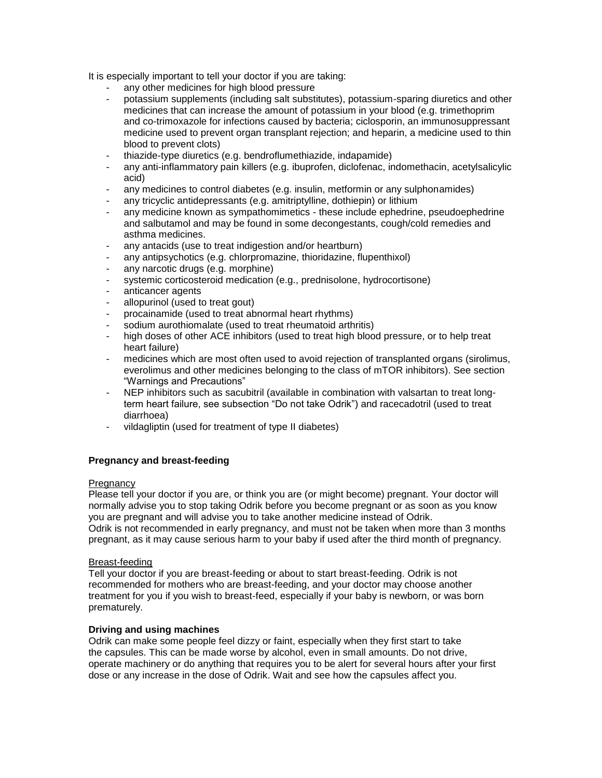It is especially important to tell your doctor if you are taking:

- any other medicines for high blood pressure
- potassium supplements (including salt substitutes), potassium-sparing diuretics and other medicines that can increase the amount of potassium in your blood (e.g. trimethoprim and co-trimoxazole for infections caused by bacteria; ciclosporin, an immunosuppressant medicine used to prevent organ transplant rejection; and heparin, a medicine used to thin blood to prevent clots)
- thiazide-type diuretics (e.g. bendroflumethiazide, indapamide)
- any anti-inflammatory pain killers (e.g. ibuprofen, diclofenac, indomethacin, acetylsalicylic acid)
- any medicines to control diabetes (e.g. insulin, metformin or any sulphonamides)
- any tricyclic antidepressants (e.g. amitriptylline, dothiepin) or lithium
- any medicine known as sympathomimetics these include ephedrine, pseudoephedrine and salbutamol and may be found in some decongestants, cough/cold remedies and asthma medicines.
- any antacids (use to treat indigestion and/or heartburn)
- any antipsychotics (e.g. chlorpromazine, thioridazine, flupenthixol)
- any narcotic drugs (e.g. morphine)
- systemic corticosteroid medication (e.g., prednisolone, hydrocortisone)
- anticancer agents
- allopurinol (used to treat gout)
- procainamide (used to treat abnormal heart rhythms)
- sodium aurothiomalate (used to treat [rheumatoid arthritis\)](http://en.wikipedia.org/wiki/Rheumatoid_arthritis)
- high doses of other ACE inhibitors (used to treat high blood pressure, or to help treat heart failure)
- medicines which are most often used to avoid rejection of transplanted organs (sirolimus, everolimus and other medicines belonging to the class of mTOR inhibitors). See section "Warnings and Precautions"
- NEP inhibitors such as sacubitril (available in combination with valsartan to treat longterm heart failure, see subsection "Do not take Odrik") and racecadotril (used to treat diarrhoea)
- vildagliptin (used for treatment of type II diabetes)

## **Pregnancy and breast-feeding**

#### **Pregnancy**

Please tell your doctor if you are, or think you are (or might become) pregnant. Your doctor will normally advise you to stop taking Odrik before you become pregnant or as soon as you know you are pregnant and will advise you to take another medicine instead of Odrik. Odrik is not recommended in early pregnancy, and must not be taken when more than 3 months pregnant, as it may cause serious harm to your baby if used after the third month of pregnancy.

#### Breast-feeding

Tell your doctor if you are breast-feeding or about to start breast-feeding. Odrik is not recommended for mothers who are breast-feeding, and your doctor may choose another treatment for you if you wish to breast-feed, especially if your baby is newborn, or was born prematurely.

#### **Driving and using machines**

Odrik can make some people feel dizzy or faint, especially when they first start to take the capsules. This can be made worse by alcohol, even in small amounts. Do not drive, operate machinery or do anything that requires you to be alert for several hours after your first dose or any increase in the dose of Odrik. Wait and see how the capsules affect you.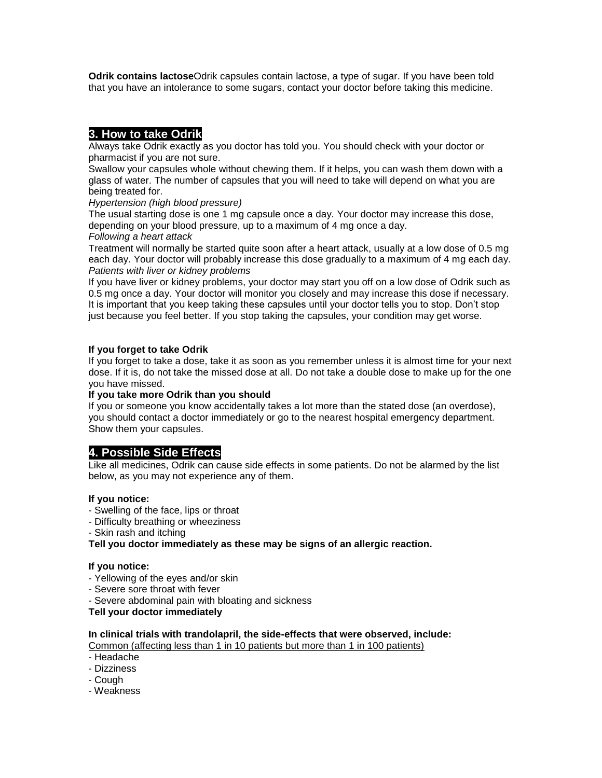**Odrik contains lactose**Odrik capsules contain lactose, a type of sugar. If you have been told that you have an intolerance to some sugars, contact your doctor before taking this medicine.

# **3. How to take Odrik**

Always take Odrik exactly as you doctor has told you. You should check with your doctor or pharmacist if you are not sure.

Swallow your capsules whole without chewing them. If it helps, you can wash them down with a glass of water. The number of capsules that you will need to take will depend on what you are being treated for.

*Hypertension (high blood pressure)*

The usual starting dose is one 1 mg capsule once a day. Your doctor may increase this dose, depending on your blood pressure, up to a maximum of 4 mg once a day.

#### *Following a heart attack*

Treatment will normally be started quite soon after a heart attack, usually at a low dose of 0.5 mg each day. Your doctor will probably increase this dose gradually to a maximum of 4 mg each day. *Patients with liver or kidney problems*

If you have liver or kidney problems, your doctor may start you off on a low dose of Odrik such as 0.5 mg once a day. Your doctor will monitor you closely and may increase this dose if necessary. It is important that you keep taking these capsules until your doctor tells you to stop. Don't stop just because you feel better. If you stop taking the capsules, your condition may get worse.

## **If you forget to take Odrik**

If you forget to take a dose, take it as soon as you remember unless it is almost time for your next dose. If it is, do not take the missed dose at all. Do not take a double dose to make up for the one you have missed.

## **If you take more Odrik than you should**

If you or someone you know accidentally takes a lot more than the stated dose (an overdose), you should contact a doctor immediately or go to the nearest hospital emergency department. Show them your capsules.

## **4. Possible Side Effects**

Like all medicines, Odrik can cause side effects in some patients. Do not be alarmed by the list below, as you may not experience any of them.

## **If you notice:**

- Swelling of the face, lips or throat
- Difficulty breathing or wheeziness
- Skin rash and itching

**Tell you doctor immediately as these may be signs of an allergic reaction.**

## **If you notice:**

- Yellowing of the eyes and/or skin
- Severe sore throat with fever
- Severe abdominal pain with bloating and sickness

**Tell your doctor immediately**

## **In clinical trials with trandolapril, the side-effects that were observed, include:**

Common (affecting less than 1 in 10 patients but more than 1 in 100 patients)

- Headache
- Dizziness
- Cough
- Weakness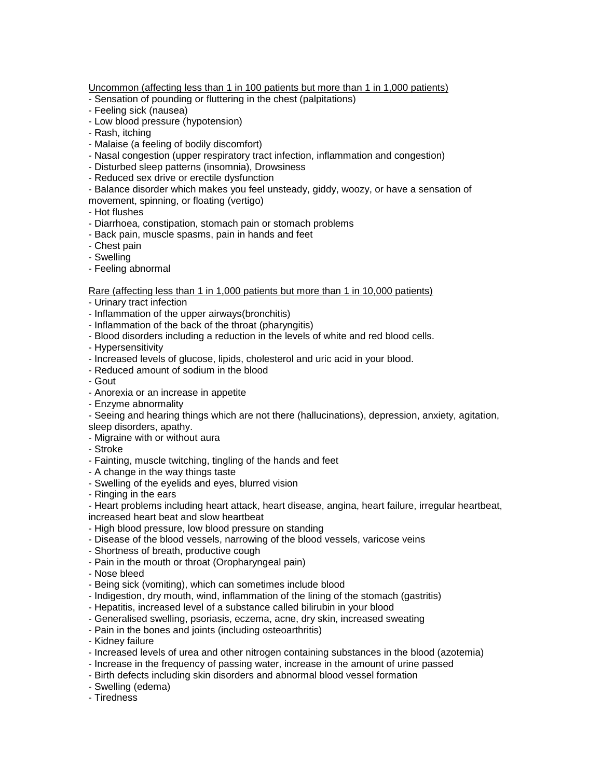Uncommon (affecting less than 1 in 100 patients but more than 1 in 1,000 patients)

- Sensation of pounding or fluttering in the chest (palpitations)
- Feeling sick (nausea)
- Low blood pressure (hypotension)
- Rash, itching
- Malaise (a feeling of bodily discomfort)
- Nasal congestion (upper respiratory tract infection, inflammation and congestion)
- Disturbed sleep patterns (insomnia), Drowsiness
- Reduced sex drive or erectile dysfunction

- Balance disorder which makes you feel unsteady, giddy, woozy, or have a sensation of movement, spinning, or floating (vertigo)

- Hot flushes
- Diarrhoea, constipation, stomach pain or stomach problems
- Back pain, muscle spasms, pain in hands and feet
- Chest pain
- Swelling
- Feeling abnormal

Rare (affecting less than 1 in 1,000 patients but more than 1 in 10,000 patients)

- Urinary tract infection
- Inflammation of the upper airways(bronchitis)
- Inflammation of the back of the throat (pharyngitis)
- Blood disorders including a reduction in the levels of white and red blood cells.
- Hypersensitivity
- Increased levels of glucose, lipids, cholesterol and uric acid in your blood.
- Reduced amount of sodium in the blood
- Gout
- Anorexia or an increase in appetite
- Enzyme abnormality

- Seeing and hearing things which are not there (hallucinations), depression, anxiety, agitation, sleep disorders, apathy.

- Migraine with or without aura
- Stroke
- Fainting, muscle twitching, tingling of the hands and feet
- A change in the way things taste
- Swelling of the eyelids and eyes, blurred vision
- Ringing in the ears

- Heart problems including heart attack, heart disease, angina, heart failure, irregular heartbeat, increased heart beat and slow heartbeat

- High blood pressure, low blood pressure on standing
- Disease of the blood vessels, narrowing of the blood vessels, varicose veins
- Shortness of breath, productive cough
- Pain in the mouth or throat (Oropharyngeal pain)
- Nose bleed
- Being sick (vomiting), which can sometimes include blood
- Indigestion, dry mouth, wind, inflammation of the lining of the stomach (gastritis)
- Hepatitis, increased level of a substance called bilirubin in your blood
- Generalised swelling, psoriasis, eczema, acne, dry skin, increased sweating
- Pain in the bones and joints (including osteoarthritis)
- Kidney failure
- Increased levels of urea and other nitrogen containing substances in the blood (azotemia)
- Increase in the frequency of passing water, increase in the amount of urine passed
- Birth defects including skin disorders and abnormal blood vessel formation
- Swelling (edema)
- Tiredness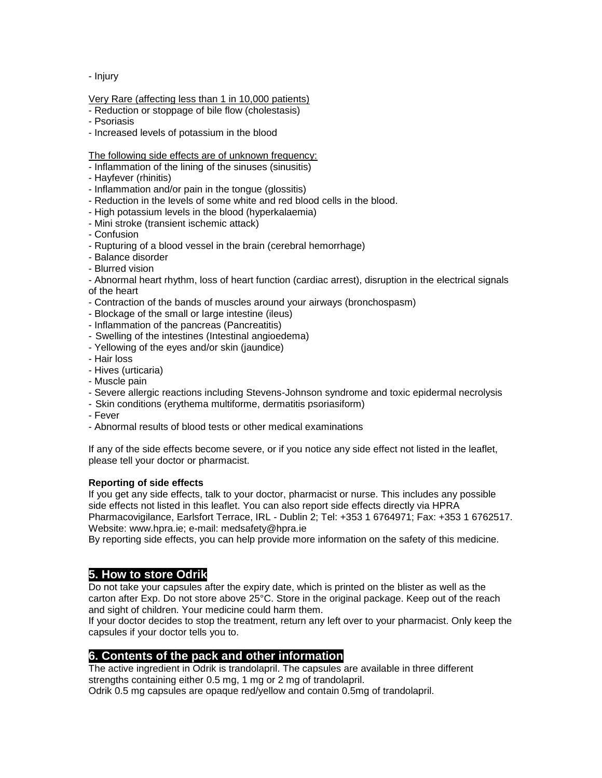- Injury

## Very Rare (affecting less than 1 in 10,000 patients)

- Reduction or stoppage of bile flow (cholestasis)
- Psoriasis
- Increased levels of potassium in the blood

#### The following side effects are of unknown frequency:

- Inflammation of the lining of the sinuses (sinusitis)
- Hayfever (rhinitis)
- Inflammation and/or pain in the tongue (glossitis)
- Reduction in the levels of some white and red blood cells in the blood.
- High potassium levels in the blood (hyperkalaemia)
- Mini stroke (transient ischemic attack)
- Confusion
- Rupturing of a blood vessel in the brain (cerebral hemorrhage)
- Balance disorder
- Blurred vision

- Abnormal heart rhythm, loss of heart function (cardiac arrest), disruption in the electrical signals of the heart

- Contraction of the bands of muscles around your airways (bronchospasm)
- Blockage of the small or large intestine (ileus)
- Inflammation of the pancreas (Pancreatitis)
- Swelling of the intestines (Intestinal angioedema)
- Yellowing of the eyes and/or skin (jaundice)
- Hair loss
- Hives (urticaria)
- Muscle pain
- Severe allergic reactions including Stevens-Johnson syndrome and toxic epidermal necrolysis
- Skin conditions (erythema multiforme, dermatitis psoriasiform)
- Fever
- Abnormal results of blood tests or other medical examinations

If any of the side effects become severe, or if you notice any side effect not listed in the leaflet, please tell your doctor or pharmacist.

#### **Reporting of side effects**

If you get any side effects, talk to your doctor, pharmacist or nurse. This includes any possible side effects not listed in this leaflet. You can also report side effects directly via HPRA Pharmacovigilance, Earlsfort Terrace, IRL - Dublin 2; Tel: +353 1 6764971; Fax: +353 1 6762517. Website: www.hpra.ie; e-mail: medsafety@hpra.ie

By reporting side effects, you can help provide more information on the safety of this medicine.

# **5. How to store Odrik**

Do not take your capsules after the expiry date, which is printed on the blister as well as the carton after Exp. Do not store above 25°C. Store in the original package. Keep out of the reach and sight of children. Your medicine could harm them.

If your doctor decides to stop the treatment, return any left over to your pharmacist. Only keep the capsules if your doctor tells you to.

## **6. Contents of the pack and other information**

The active ingredient in Odrik is trandolapril. The capsules are available in three different strengths containing either 0.5 mg, 1 mg or 2 mg of trandolapril.

Odrik 0.5 mg capsules are opaque red/yellow and contain 0.5mg of trandolapril.